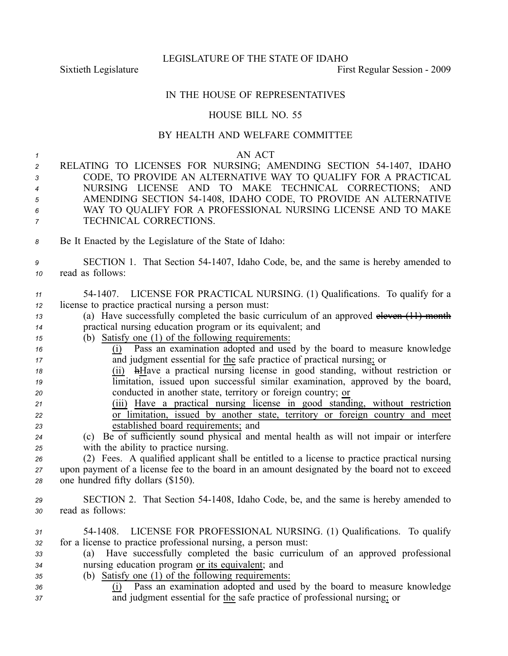LEGISLATURE OF THE STATE OF IDAHO

Sixtieth Legislature **First** Regular Session - 2009

## IN THE HOUSE OF REPRESENTATIVES

## HOUSE BILL NO. 55

## BY HEALTH AND WELFARE COMMITTEE

*1* AN ACT RELATING TO LICENSES FOR NURSING; AMENDING SECTION 541407, IDAHO CODE, TO PROVIDE AN ALTERNATIVE WAY TO QUALIFY FOR A PRACTICAL NURSING LICENSE AND TO MAKE TECHNICAL CORRECTIONS; AND AMENDING SECTION 541408, IDAHO CODE, TO PROVIDE AN ALTERNATIVE WAY TO QUALIFY FOR A PROFESSIONAL NURSING LICENSE AND TO MAKE TECHNICAL CORRECTIONS. Be It Enacted by the Legislature of the State of Idaho: SECTION 1. That Section 541407, Idaho Code, be, and the same is hereby amended to read as follows: 541407. LICENSE FOR PRACTICAL NURSING. (1) Qualifications. To qualify for <sup>a</sup> license to practice practical nursing <sup>a</sup> person must: (a) Have successfully completed the basic curriculum of an approved eleven (11) month practical nursing education program or its equivalent; and (b) Satisfy one (1) of the following requirements: (i) Pass an examination adopted and used by the board to measure knowledge and judgment essential for the safe practice of practical nursing; or (ii) hHave <sup>a</sup> practical nursing license in good standing, without restriction or limitation, issued upon successful similar examination, approved by the board, conducted in another state, territory or foreign country; or (iii) Have <sup>a</sup> practical nursing license in good standing, without restriction or limitation, issued by another state, territory or foreign country and meet established board requirements; and (c) Be of sufficiently sound physical and mental health as will not impair or interfere with the ability to practice nursing. (2) Fees. A qualified applicant shall be entitled to <sup>a</sup> license to practice practical nursing upon paymen<sup>t</sup> of <sup>a</sup> license fee to the board in an amount designated by the board not to exceed one hundred fifty dollars (\$150). SECTION 2. That Section 541408, Idaho Code, be, and the same is hereby amended to read as follows: 541408. LICENSE FOR PROFESSIONAL NURSING. (1) Qualifications. To qualify for <sup>a</sup> license to practice professional nursing, <sup>a</sup> person must: (a) Have successfully completed the basic curriculum of an approved professional nursing education program or its equivalent; and (b) Satisfy one (1) of the following requirements: (i) Pass an examination adopted and used by the board to measure knowledge and judgment essential for the safe practice of professional nursing; or